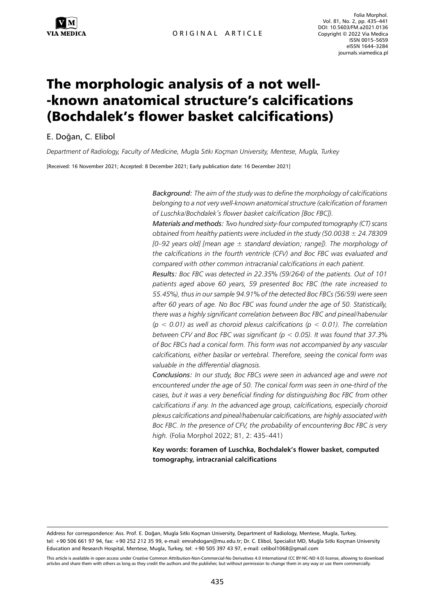Folia Morphol. Vol. 81, No. 2, pp. 435–441 DOI: 10.5603/FM.a2021.0136 Copyright © 2022 Via Medica ISSN 0015–5659 eISSN 1644–3284 journals.viamedica.pl

# The morphologic analysis of a not well- -known anatomical structure's calcifications (Bochdalek's flower basket calcifications)

E. Doğan, C. Elibol

*Department of Radiology, Faculty of Medicine, Mugla Sıtkı Koçman University, Mentese, Mugla, Turkey*

[Received: 16 November 2021; Accepted: 8 December 2021; Early publication date: 16 December 2021]

*Background: The aim of the study was to define the morphology of calcifications belonging to a not very well-known anatomical structure (calcification of foramen of Luschka/Bochdalek's flower basket calcification [Boc FBC]).*

*Materials and methods: Two hundred sixty-four computed tomography (CT) scans obtained from healthy patients were included in the study (50.0038 ± 24.78309 [0–92 years old] [mean age ± standard deviation; range]). The morphology of the calcifications in the fourth ventricle (CFV) and Boc FBC was evaluated and compared with other common intracranial calcifications in each patient.*

*Results: Boc FBC was detected in 22.35% (59/264) of the patients. Out of 101 patients aged above 60 years, 59 presented Boc FBC (the rate increased to 55.45%), thus in our sample 94.91% of the detected Boc FBCs (56/59) were seen after 60 years of age. No Boc FBC was found under the age of 50. Statistically, there was a highly significant correlation between Boc FBC and pineal/habenular (p < 0.01) as well as choroid plexus calcifications (p < 0.01). The correlation between CFV and Boc FBC was significant (p < 0.05). It was found that 37.3% of Boc FBCs had a conical form. This form was not accompanied by any vascular calcifications, either basilar or vertebral. Therefore, seeing the conical form was valuable in the differential diagnosis.* 

*Conclusions: In our study, Boc FBCs were seen in advanced age and were not encountered under the age of 50. The conical form was seen in one-third of the cases, but it was a very beneficial finding for distinguishing Boc FBC from other calcifications if any. In the advanced age group, calcifications, especially choroid plexus calcifications and pineal/habenular calcifications, are highly associated with Boc FBC. In the presence of CFV, the probability of encountering Boc FBC is very high.* (Folia Morphol 2022; 81, 2: 435–441)

**Key words: foramen of Luschka, Bochdalek's flower basket, computed tomography, intracranial calcifications**

Address for correspondence: Ass. Prof. E. Doğan, Mugla Sıtkı Koçman University, Department of Radiology, Mentese, Mugla, Turkey, tel: +90 506 661 97 94, fax: +90 252 212 35 99, e-mail: emrahdogan@mu.edu.tr; Dr. C. Elibol, Specialist MD, Muğla Sıtkı Koçman University Education and Research Hospital, Mentese, Mugla, Turkey, tel: +90 505 397 43 97, e-mail: celibol1068@gmail.com

This article is available in open access under Creative Common Attribution-Non-Commercial-No Derivatives 4.0 International (CC BY-NC-ND 4.0) license, allowing to download articles and share them with others as long as they credit the authors and the publisher, but without permission to change them in any way or use them commercially.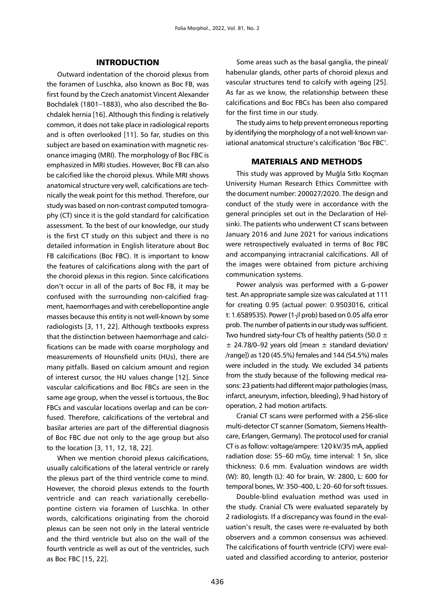### INTRODUCTION

Outward indentation of the choroid plexus from the foramen of Luschka, also known as Boc FB, was first found by the Czech anatomist Vincent Alexander Bochdalek (1801–1883), who also described the Bochdalek hernia [16]. Although this finding is relatively common, it does not take place in radiological reports and is often overlooked [11]. So far, studies on this subject are based on examination with magnetic resonance imaging (MRI). The morphology of Boc FBC is emphasized in MRI studies. However, Boc FB can also be calcified like the choroid plexus. While MRI shows anatomical structure very well, calcifications are technically the weak point for this method. Therefore, our study was based on non-contrast computed tomography (CT) since it is the gold standard for calcification assessment. To the best of our knowledge, our study is the first CT study on this subject and there is no detailed information in English literature about Boc FB calcifications (Boc FBC). It is important to know the features of calcifications along with the part of the choroid plexus in this region. Since calcifications don't occur in all of the parts of Boc FB, it may be confused with the surrounding non-calcified fragment, haemorrhages and with cerebellopontine angle masses because this entity is not well-known by some radiologists [3, 11, 22]. Although textbooks express that the distinction between haemorrhage and calcifications can be made with coarse morphology and measurements of Hounsfield units (HUs), there are many pitfalls. Based on calcium amount and region of interest cursor, the HU values change [12]. Since vascular calcifications and Boc FBCs are seen in the same age group, when the vessel is tortuous, the Boc FBCs and vascular locations overlap and can be confused. Therefore, calcifications of the vertebral and basilar arteries are part of the differential diagnosis of Boc FBC due not only to the age group but also to the location [3, 11, 12, 18, 22].

When we mention choroid plexus calcifications, usually calcifications of the lateral ventricle or rarely the plexus part of the third ventricle come to mind. However, the choroid plexus extends to the fourth ventricle and can reach variationally cerebellopontine cistern via foramen of Luschka. In other words, calcifications originating from the choroid plexus can be seen not only in the lateral ventricle and the third ventricle but also on the wall of the fourth ventricle as well as out of the ventricles, such as Boc FBC [15, 22].

Some areas such as the basal ganglia, the pineal/ habenular glands, other parts of choroid plexus and vascular structures tend to calcify with ageing [25]. As far as we know, the relationship between these calcifications and Boc FBCs has been also compared for the first time in our study.

The study aims to help prevent erroneous reporting by identifying the morphology of a not well-known variational anatomical structure's calcification 'Boc FBC'.

## MATERIALS AND METHODS

This study was approved by Muğla Sıtkı Koçman University Human Research Ethics Committee with the document number: 200027/2020. The design and conduct of the study were in accordance with the general principles set out in the Declaration of Helsinki. The patients who underwent CT scans between January 2016 and June 2021 for various indications were retrospectively evaluated in terms of Boc FBC and accompanying intracranial calcifications. All of the images were obtained from picture archiving communication systems.

Power analysis was performed with a G-power test. An appropriate sample size was calculated at 111 for creating 0.95 (actual power: 0.9503016, critical t: 1.6589535). Power (1- $\beta$  prob) based on 0.05 alfa error prob. The number of patients in our study was sufficient. Two hundred sixty-four CTs of healthy patients (50.0  $\pm$ ± 24.78/0–92 years old [mean *±* standard deviation/ /range]) as 120 (45.5%) females and 144 (54.5%) males were included in the study. We excluded 34 patients from the study because of the following medical reasons: 23 patients had different major pathologies (mass, infarct, aneurysm, infection, bleeding), 9 had history of operation, 2 had motion artifacts.

Cranial CT scans were performed with a 256-slice multi-detector CT scanner (Somatom, Siemens Healthcare, Erlangen, Germany). The protocol used for cranial CT is as follow: voltage/ampere: 120 kV/35 mA, applied radiation dose: 55–60 mGy, time interval: 1 Sn, slice thickness: 0.6 mm. Evaluation windows are width (W): 80, length (L): 40 for brain, W: 2800, L: 600 for temporal bones, W: 350–400, L: 20–60 for soft tissues.

Double-blind evaluation method was used in the study. Cranial CTs were evaluated separately by 2 radiologists. If a discrepancy was found in the evaluation's result, the cases were re-evaluated by both observers and a common consensus was achieved. The calcifications of fourth ventricle (CFV) were evaluated and classified according to anterior, posterior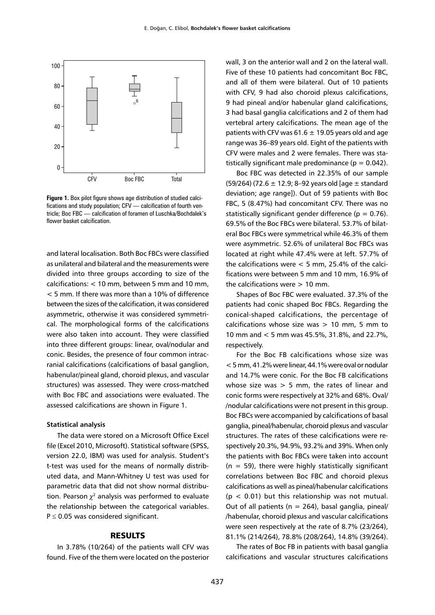

**Figure 1.** Box pilot figure shows age distribution of studied calcifications and study population; CFV — calcification of fourth ventricle; Boc FBC — calcification of foramen of Luschka/Bochdalek's flower basket calcification.

and lateral localisation. Both Boc FBCs were classified as unilateral and bilateral and the measurements were divided into three groups according to size of the calcifications: < 10 mm, between 5 mm and 10 mm, < 5 mm. If there was more than a 10% of difference between the sizes of the calcification, it was considered asymmetric, otherwise it was considered symmetrical. The morphological forms of the calcifications were also taken into account. They were classified into three different groups: linear, oval/nodular and conic. Besides, the presence of four common intracranial calcifications (calcifications of basal ganglion, habenular/pineal gland, choroid plexus, and vascular structures) was assessed. They were cross-matched with Boc FBC and associations were evaluated. The assessed calcifications are shown in Figure 1.

#### **Statistical analysis**

The data were stored on a Microsoft Office Excel file (Excel 2010, Microsoft). Statistical software (SPSS, version 22.0, IBM) was used for analysis. Student's t-test was used for the means of normally distributed data, and Mann-Whitney U test was used for parametric data that did not show normal distribution. Pearson  $\chi^2$  analysis was performed to evaluate the relationship between the categorical variables.  $P \leq 0.05$  was considered significant.

## RESULTS

In 3.78% (10/264) of the patients wall CFV was found. Five of the them were located on the posterior wall, 3 on the anterior wall and 2 on the lateral wall. Five of these 10 patients had concomitant Boc FBC, and all of them were bilateral. Out of 10 patients with CFV, 9 had also choroid plexus calcifications, 9 had pineal and/or habenular gland calcifications, 3 had basal ganglia calcifications and 2 of them had vertebral artery calcifications. The mean age of the patients with CFV was  $61.6 \pm 19.05$  years old and age range was 36–89 years old. Eight of the patients with CFV were males and 2 were females. There was statistically significant male predominance ( $p = 0.042$ ).

Boc FBC was detected in 22.35% of our sample (59/264) (72.6 ± 12.9; 8–92 years old [age *±* standard deviation; age range]). Out of 59 patients with Boc FBC, 5 (8.47%) had concomitant CFV. There was no statistically significant gender difference ( $p = 0.76$ ). 69.5% of the Boc FBCs were bilateral. 53.7% of bilateral Boc FBCs were symmetrical while 46.3% of them were asymmetric. 52.6% of unilateral Boc FBCs was located at right while 47.4% were at left. 57.7% of the calcifications were  $< 5$  mm, 25.4% of the calcifications were between 5 mm and 10 mm, 16.9% of the calcifications were  $> 10$  mm.

Shapes of Boc FBC were evaluated. 37.3% of the patients had conic shaped Boc FBCs. Regarding the conical-shaped calcifications, the percentage of calcifications whose size was  $> 10$  mm, 5 mm to 10 mm and < 5 mm was 45.5%, 31.8%, and 22.7%, respectively.

For the Boc FB calcifications whose size was < 5 mm, 41.2% were linear, 44.1% were oval or nodular and 14.7% were conic. For the Boc FB calcifications whose size was  $> 5$  mm, the rates of linear and conic forms were respectively at 32% and 68%. Oval/ /nodular calcifications were not present in this group. Boc FBCs were accompanied by calcifications of basal ganglia, pineal/habenular, choroid plexus and vascular structures. The rates of these calcifications were respectively 20.3%, 94.9%, 93.2% and 39%. When only the patients with Boc FBCs were taken into account  $(n = 59)$ , there were highly statistically significant correlations between Boc FBC and choroid plexus calcifications as well as pineal/habenular calcifications  $(p < 0.01)$  but this relationship was not mutual. Out of all patients ( $n = 264$ ), basal ganglia, pineal/ /habenular, choroid plexus and vascular calcifications were seen respectively at the rate of 8.7% (23/264), 81.1% (214/264), 78.8% (208/264), 14.8% (39/264).

The rates of Boc FB in patients with basal ganglia calcifications and vascular structures calcifications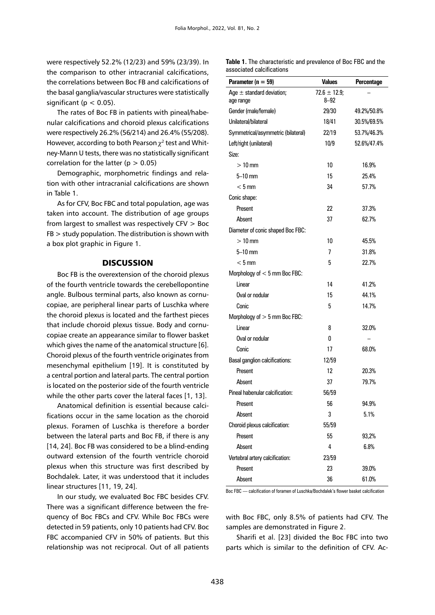were respectively 52.2% (12/23) and 59% (23/39). In the comparison to other intracranial calcifications, the correlations between Boc FB and calcifications of the basal ganglia/vascular structures were statistically significant ( $p < 0.05$ ).

The rates of Boc FB in patients with pineal/habenular calcifications and choroid plexus calcifications were respectively 26.2% (56/214) and 26.4% (55/208). However, according to both Pearson  $\chi^2$  test and Whitney-Mann U tests, there was no statistically significant correlation for the latter ( $p > 0.05$ )

Demographic, morphometric findings and relation with other intracranial calcifications are shown in Table 1.

As for CFV, Boc FBC and total population, age was taken into account. The distribution of age groups from largest to smallest was respectively CFV > Boc  $FB$  > study population. The distribution is shown with a box plot graphic in Figure 1.

## **DISCUSSION**

Boc FB is the overextension of the choroid plexus of the fourth ventricle towards the cerebellopontine angle. Bulbous terminal parts, also known as cornucopiae, are peripheral linear parts of Luschka where the choroid plexus is located and the farthest pieces that include choroid plexus tissue. Body and cornucopiae create an appearance similar to flower basket which gives the name of the anatomical structure [6]. Choroid plexus of the fourth ventricle originates from mesenchymal epithelium [19]. It is constituted by a central portion and lateral parts. The central portion is located on the posterior side of the fourth ventricle while the other parts cover the lateral faces [1, 13].

Anatomical definition is essential because calcifications occur in the same location as the choroid plexus. Foramen of Luschka is therefore a border between the lateral parts and Boc FB, if there is any [14, 24]. Boc FB was considered to be a blind-ending outward extension of the fourth ventricle choroid plexus when this structure was first described by Bochdalek. Later, it was understood that it includes linear structures [11, 19, 24].

In our study, we evaluated Boc FBC besides CFV. There was a significant difference between the frequency of Boc FBCs and CFV. While Boc FBCs were detected in 59 patients, only 10 patients had CFV. Boc FBC accompanied CFV in 50% of patients. But this relationship was not reciprocal. Out of all patients **Table 1.** The characteristic and prevalence of Boc FBC and the associated calcifications

| Parameter ( $n = 59$ )                     | <b>Values</b>                 | Percentage  |
|--------------------------------------------|-------------------------------|-------------|
| Age $\pm$ standard deviation;<br>age range | $72.6 \pm 12.9$ ;<br>$8 - 92$ |             |
| Gender (male/female)                       | 29/30                         | 49.2%/50.8% |
| Unilateral/bilateral                       | 18/41                         | 30.5%/69.5% |
| Symmetrical/asymmetric (bilateral)         | 22/19                         | 53.7%/46.3% |
| Left/right (unilateral)                    | 10/9                          | 52.6%/47.4% |
| Size:                                      |                               |             |
| $>10$ mm                                   | 10                            | 16.9%       |
| $5-10$ mm                                  | 15                            | 25.4%       |
| $< 5$ mm                                   | 34                            | 57.7%       |
| Conic shape:                               |                               |             |
| Present                                    | 22                            | 37.3%       |
| Absent                                     | 37                            | 62.7%       |
| Diameter of conic shaped Boc FBC:          |                               |             |
| $>10$ mm                                   | 10                            | 45.5%       |
| $5-10$ mm                                  | 7                             | 31.8%       |
| $< 5 \text{ mm}$                           | 5                             | 22.7%       |
| Morphology of $< 5$ mm Boc FBC:            |                               |             |
| Linear                                     | 14                            | 41.2%       |
| Oval or nodular                            | 15                            | 44.1%       |
| Conic                                      | 5                             | 14.7%       |
| Morphology of $> 5$ mm Boc FBC:            |                               |             |
| Linear                                     | 8                             | 32.0%       |
| Oval or nodular                            | 0                             |             |
| Conic                                      | 17                            | 68.0%       |
| Basal ganglion calcifications:             | 12/59                         |             |
| Present                                    | 12                            | 20.3%       |
| Absent                                     | 37                            | 79.7%       |
| Pineal habenular calcification:            | 56/59                         |             |
| Present                                    | 56                            | 94.9%       |
| Absent                                     | 3                             | 5.1%        |
| Choroid plexus calcification:              | 55/59                         |             |
| Present                                    | 55                            | 93,2%       |
| Absent                                     | 4                             | 6.8%        |
| Vertebral artery calcification:            | 23/59                         |             |
| Present                                    | 23                            | 39.0%       |
| Absent                                     | 36                            | 61.0%       |

Boc FBC — calcification of foramen of Luschka/Bochdalek's flower basket calcification

with Boc FBC, only 8.5% of patients had CFV. The samples are demonstrated in Figure 2.

Sharifi et al. [23] divided the Boc FBC into two parts which is similar to the definition of CFV. Ac-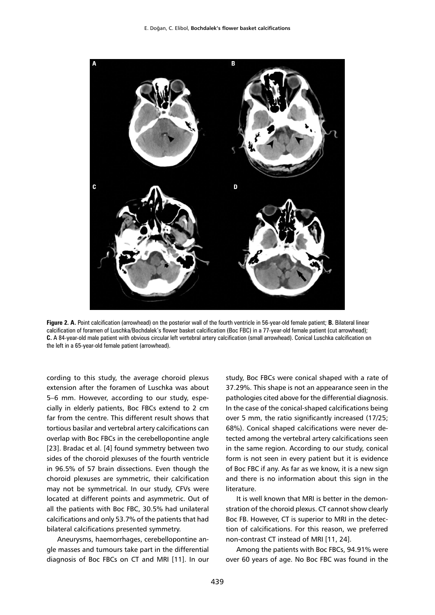

**Figure 2. A.** Point calcification (arrowhead) on the posterior wall of the fourth ventricle in 56-year-old female patient; **B.** Bilateral linear calcification of foramen of Luschka/Bochdalek's flower basket calcification (Boc FBC) in a 77-year-old female patient (cut arrowhead); **C.** A 84-year-old male patient with obvious circular left vertebral artery calcification (small arrowhead). Conical Luschka calcification on the left in a 65-year-old female patient (arrowhead).

cording to this study, the average choroid plexus extension after the foramen of Luschka was about 5–6 mm. However, according to our study, especially in elderly patients, Boc FBCs extend to 2 cm far from the centre. This different result shows that tortious basilar and vertebral artery calcifications can overlap with Boc FBCs in the cerebellopontine angle [23]. Bradac et al. [4] found symmetry between two sides of the choroid plexuses of the fourth ventricle in 96.5% of 57 brain dissections. Even though the choroid plexuses are symmetric, their calcification may not be symmetrical. In our study, CFVs were located at different points and asymmetric. Out of all the patients with Boc FBC, 30.5% had unilateral calcifications and only 53.7% of the patients that had bilateral calcifications presented symmetry.

Aneurysms, haemorrhages, cerebellopontine angle masses and tumours take part in the differential diagnosis of Boc FBCs on CT and MRI [11]. In our study, Boc FBCs were conical shaped with a rate of 37.29%. This shape is not an appearance seen in the pathologies cited above for the differential diagnosis. In the case of the conical-shaped calcifications being over 5 mm, the ratio significantly increased (17/25; 68%). Conical shaped calcifications were never detected among the vertebral artery calcifications seen in the same region. According to our study, conical form is not seen in every patient but it is evidence of Boc FBC if any. As far as we know, it is a new sign and there is no information about this sign in the literature.

It is well known that MRI is better in the demonstration of the choroid plexus. CT cannot show clearly Boc FB. However, CT is superior to MRI in the detection of calcifications. For this reason, we preferred non-contrast CT instead of MRI [11, 24].

Among the patients with Boc FBCs, 94.91% were over 60 years of age. No Boc FBC was found in the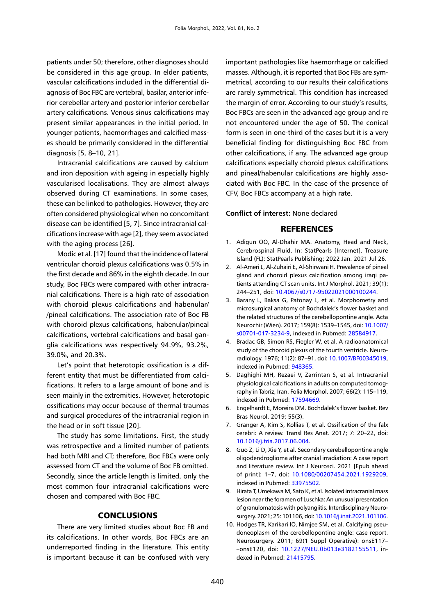patients under 50; therefore, other diagnoses should be considered in this age group. In elder patients, vascular calcifications included in the differential diagnosis of Boc FBC are vertebral, basilar, anterior inferior cerebellar artery and posterior inferior cerebellar artery calcifications. Venous sinus calcifications may present similar appearances in the initial period. In younger patients, haemorrhages and calcified masses should be primarily considered in the differential diagnosis [5, 8–10, 21].

Intracranial calcifications are caused by calcium and iron deposition with ageing in especially highly vascularised localisations. They are almost always observed during CT examinations. In some cases, these can be linked to pathologies. However, they are often considered physiological when no concomitant disease can be identified [5, 7]. Since intracranial calcifications increase with age [2], they seem associated with the aging process [26].

Modic et al. [17] found that the incidence of lateral ventricular choroid plexus calcifications was 0.5% in the first decade and 86% in the eighth decade. In our study, Boc FBCs were compared with other intracranial calcifications. There is a high rate of association with choroid plexus calcifications and habenular/ /pineal calcifications. The association rate of Boc FB with choroid plexus calcifications, habenular/pineal calcifications, vertebral calcifications and basal ganglia calcifications was respectively 94.9%, 93.2%, 39.0%, and 20.3%.

Let's point that heterotopic ossification is a different entity that must be differentiated from calcifications. It refers to a large amount of bone and is seen mainly in the extremities. However, heterotopic ossifications may occur because of thermal traumas and surgical procedures of the intracranial region in the head or in soft tissue [20].

The study has some limitations. First, the study was retrospective and a limited number of patients had both MRI and CT; therefore, Boc FBCs were only assessed from CT and the volume of Boc FB omitted. Secondly, since the article length is limited, only the most common four intracranial calcifications were chosen and compared with Boc FBC.

## **CONCLUSIONS**

There are very limited studies about Boc FB and its calcifications. In other words, Boc FBCs are an underreported finding in the literature. This entity is important because it can be confused with very important pathologies like haemorrhage or calcified masses. Although, it is reported that Boc FBs are symmetrical, according to our results their calcifications are rarely symmetrical. This condition has increased the margin of error. According to our study's results, Boc FBCs are seen in the advanced age group and re not encountered under the age of 50. The conical form is seen in one-third of the cases but it is a very beneficial finding for distinguishing Boc FBC from other calcifications, if any. The advanced age group calcifications especially choroid plexus calcifications and pineal/habenular calcifications are highly associated with Boc FBC. In the case of the presence of CFV, Boc FBCs accompany at a high rate.

### **Conflict of interest:** None declared

#### **REFERENCES**

- 1. Adigun OO, Al-Dhahir MA. Anatomy, Head and Neck, Cerebrospinal Fluid. In: StatPearls [Internet]. Treasure Island (FL): StatPearls Publishing; 2022 Jan. 2021 Jul 26.
- 2. Al-Ameri L, Al-Zuhairi E, Al-Shirwani H. Prevalence of pineal gland and choroid plexus calcification among iraqi patients attending CT scan units. Int J Morphol. 2021; 39(1): 244–251, doi: [10.4067/s0717-95022021000100244.](http://dx.doi.org/10.4067/s0717-95022021000100244)
- 3. Barany L, Baksa G, Patonay L, et al. Morphometry and microsurgical anatomy of Bochdalek's flower basket and the related structures of the cerebellopontine angle. Acta Neurochir (Wien). 2017; 159(8): 1539–1545, doi: [10.1007/](http://dx.doi.org/10.1007/s00701-017-3234-9) [s00701-017-3234-9](http://dx.doi.org/10.1007/s00701-017-3234-9), indexed in Pubmed: [28584917](https://www.ncbi.nlm.nih.gov/pubmed/28584917).
- 4. Bradac GB, Simon RS, Fiegler W, et al. A radioanatomical study of the choroid plexus of the fourth ventricle. Neuroradiology. 1976; 11(2): 87–91, doi: [10.1007/BF00345019](http://dx.doi.org/10.1007/BF00345019), indexed in Pubmed: [948365](https://www.ncbi.nlm.nih.gov/pubmed/948365).
- 5. Daghighi MH, Rezaei V, Zarrintan S, et al. Intracranial physiological calcifications in adults on computed tomography in Tabriz, Iran. Folia Morphol. 2007; 66(2): 115–119, indexed in Pubmed: [17594669](https://www.ncbi.nlm.nih.gov/pubmed/17594669).
- 6. Engelhardt E, Moreira DM. Bochdalek's flower basket. Rev Bras Neurol. 2019; 55(3).
- 7. Granger A, Kim S, Kollias T, et al. Ossification of the falx cerebri: A review. Transl Res Anat. 2017; 7: 20–22, doi: [10.1016/j.tria.2017.06.004.](http://dx.doi.org/10.1016/j.tria.2017.06.004)
- 8. Guo Z, Li D, Xie Y, et al. Secondary cerebellopontine angle oligodendroglioma after cranial irradiation: A case report and literature review. Int J Neurosci. 2021 [Epub ahead of print]: 1–7, doi: [10.1080/00207454.2021.1929209](http://dx.doi.org/10.1080/00207454.2021.1929209), indexed in Pubmed: [33975502](https://www.ncbi.nlm.nih.gov/pubmed/33975502).
- 9. Hirata T, Umekawa M, Sato K, et al. Isolated intracranial mass lesion near the foramen of Luschka: An unusual presentation of granulomatosis with polyangiitis. Interdisciplinary Neurosurgery. 2021; 25: 101106, doi: [10.1016/j.inat.2021.101106](http://dx.doi.org/10.1016/j.inat.2021.101106).
- 10. Hodges TR, Karikari IO, Nimjee SM, et al. Calcifying pseudoneoplasm of the cerebellopontine angle: case report. Neurosurgery. 2011; 69(1 Suppl Operative): onsE117– –onsE120, doi: [10.1227/NEU.0b013e3182155511](http://dx.doi.org/10.1227/NEU.0b013e3182155511), indexed in Pubmed: [21415795.](https://www.ncbi.nlm.nih.gov/pubmed/21415795)